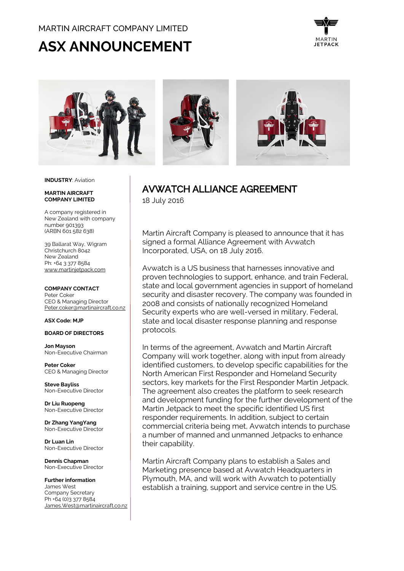# MARTIN AIRCRAFT COMPANY LIMITED

# **ASX ANNOUNCEMENT**





#### **INDUSTRY**: Aviation

#### **MARTIN AIRCRAFT COMPANY LIMITED**

A company registered in New Zealand with company number 901393 (ARBN 601 582 638)

39 Ballarat Way, Wigram Christchurch 8042 New Zealand Ph: +64 3 377 8584 [www.martinjetpack.com](http://www.martinjetpack.com/)

## **COMPANY CONTACT**

Peter Coker CEO & Managing Director [Peter.coker@martinaircraft.co.nz](mailto:Peter.coker@martinaircraft.co.nz)

#### **ASX Code: MJP**

## **BOARD OF DIRECTORS**

**Jon Mayson**  Non-Executive Chairman

**Peter Coker**  CEO & Managing Director

**Steve Bayliss** Non-Executive Director

**Dr Liu Ruopeng**  Non-Executive Director

**Dr Zhang YangYang**  Non-Executive Director

**Dr Luan Lin** Non-Executive Director

**Dennis Chapman** Non-Executive Director

**Further information** James West Company Secretary Ph +64 (0)3 377 8584 [James.West@martinaircraft.co.nz](mailto:James.West@martinaircraft.co.nz)

# AVWATCH ALLIANCE AGREEMENT 18 July 2016

Martin Aircraft Company is pleased to announce that it has signed a formal Alliance Agreement with Avwatch Incorporated, USA, on 18 July 2016.

Avwatch is a US business that harnesses innovative and proven technologies to support, enhance, and train Federal, state and local government agencies in support of homeland security and disaster recovery. The company was founded in 2008 and consists of nationally recognized Homeland Security experts who are well-versed in military, Federal, state and local disaster response planning and response protocols.

In terms of the agreement, Avwatch and Martin Aircraft Company will work together, along with input from already identified customers, to develop specific capabilities for the North American First Responder and Homeland Security sectors, key markets for the First Responder Martin Jetpack. The agreement also creates the platform to seek research and development funding for the further development of the Martin Jetpack to meet the specific identified US first responder requirements. In addition, subject to certain commercial criteria being met, Avwatch intends to purchase a number of manned and unmanned Jetpacks to enhance their capability.

Martin Aircraft Company plans to establish a Sales and Marketing presence based at Avwatch Headquarters in Plymouth, MA, and will work with Avwatch to potentially establish a training, support and service centre in the US.